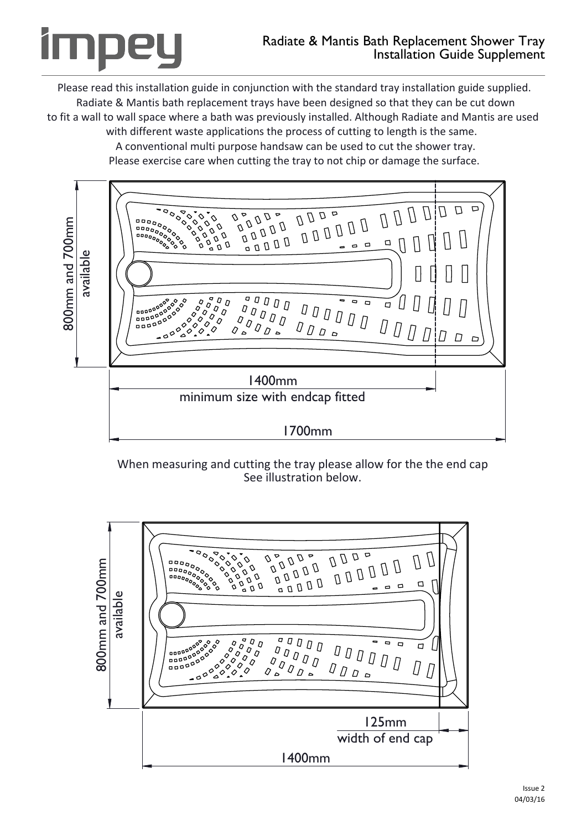Please read this installation guide in conjunction with the standard tray installation guide supplied. Radiate & Mantis bath replacement trays have been designed so that they can be cut down to fit a wall to wall space where a bath was previously installed. Although Radiate and Mantis are used with different waste applications the process of cutting to length is the same.

> A conventional multi purpose handsaw can be used to cut the shower tray. Please exercise care when cutting the tray to not chip or damage the surface.



When measuring and cutting the tray please allow for the the end cap See illustration below.